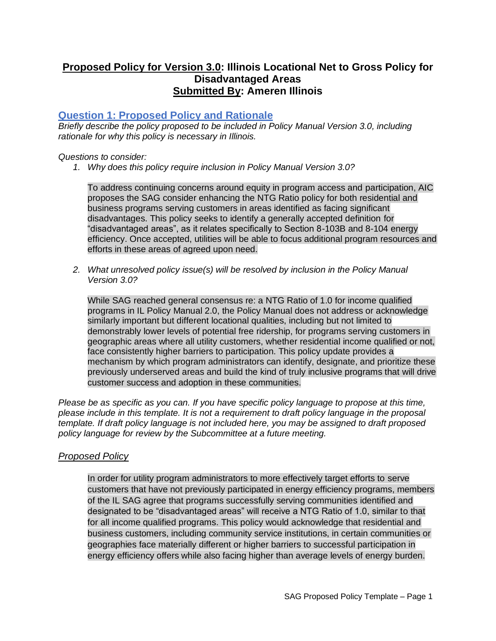# **Proposed Policy for Version 3.0: Illinois Locational Net to Gross Policy for Disadvantaged Areas Submitted By: Ameren Illinois**

# **Question 1: Proposed Policy and Rationale**

*Briefly describe the policy proposed to be included in Policy Manual Version 3.0, including rationale for why this policy is necessary in Illinois.*

*Questions to consider:*

*1. Why does this policy require inclusion in Policy Manual Version 3.0?*

To address continuing concerns around equity in program access and participation, AIC proposes the SAG consider enhancing the NTG Ratio policy for both residential and business programs serving customers in areas identified as facing significant disadvantages. This policy seeks to identify a generally accepted definition for "disadvantaged areas", as it relates specifically to Section 8-103B and 8-104 energy efficiency. Once accepted, utilities will be able to focus additional program resources and efforts in these areas of agreed upon need.

*2. What unresolved policy issue(s) will be resolved by inclusion in the Policy Manual Version 3.0?*

While SAG reached general consensus re: a NTG Ratio of 1.0 for income qualified programs in IL Policy Manual 2.0, the Policy Manual does not address or acknowledge similarly important but different locational qualities, including but not limited to demonstrably lower levels of potential free ridership, for programs serving customers in geographic areas where all utility customers, whether residential income qualified or not, face consistently higher barriers to participation. This policy update provides a mechanism by which program administrators can identify, designate, and prioritize these previously underserved areas and build the kind of truly inclusive programs that will drive customer success and adoption in these communities.

*Please be as specific as you can. If you have specific policy language to propose at this time, please include in this template. It is not a requirement to draft policy language in the proposal template. If draft policy language is not included here, you may be assigned to draft proposed policy language for review by the Subcommittee at a future meeting.*

## *Proposed Policy*

In order for utility program administrators to more effectively target efforts to serve customers that have not previously participated in energy efficiency programs, members of the IL SAG agree that programs successfully serving communities identified and designated to be "disadvantaged areas" will receive a NTG Ratio of 1.0, similar to that for all income qualified programs. This policy would acknowledge that residential and business customers, including community service institutions, in certain communities or geographies face materially different or higher barriers to successful participation in energy efficiency offers while also facing higher than average levels of energy burden.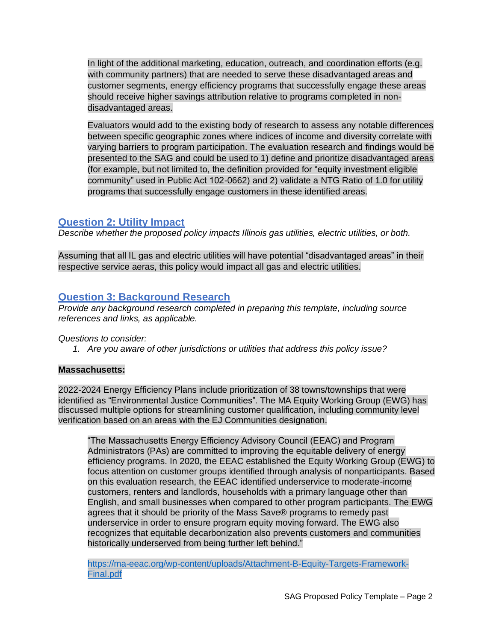In light of the additional marketing, education, outreach, and coordination efforts (e.g. with community partners) that are needed to serve these disadvantaged areas and customer segments, energy efficiency programs that successfully engage these areas should receive higher savings attribution relative to programs completed in nondisadvantaged areas.

Evaluators would add to the existing body of research to assess any notable differences between specific geographic zones where indices of income and diversity correlate with varying barriers to program participation. The evaluation research and findings would be presented to the SAG and could be used to 1) define and prioritize disadvantaged areas (for example, but not limited to, the definition provided for "equity investment eligible community" used in Public Act 102-0662) and 2) validate a NTG Ratio of 1.0 for utility programs that successfully engage customers in these identified areas.

# **Question 2: Utility Impact**

*Describe whether the proposed policy impacts Illinois gas utilities, electric utilities, or both.*

Assuming that all IL gas and electric utilities will have potential "disadvantaged areas" in their respective service aeras, this policy would impact all gas and electric utilities.

# **Question 3: Background Research**

*Provide any background research completed in preparing this template, including source references and links, as applicable.*

*Questions to consider:*

*1. Are you aware of other jurisdictions or utilities that address this policy issue?*

## **Massachusetts:**

2022-2024 Energy Efficiency Plans include prioritization of 38 towns/townships that were discussed multiple options for streamlining customer qualification, including community level verification based on an areas with the EJ Communities designation. identified as "Environmental Justice Communities". The MA Equity Working Group (EWG) has

"The Massachusetts Energy Efficiency Advisory Council (EEAC) and Program Administrators (PAs) are committed to improving the equitable delivery of energy efficiency programs. In 2020, the EEAC established the Equity Working Group (EWG) to focus attention on customer groups identified through analysis of nonparticipants. Based on this evaluation research, the EEAC identified underservice to moderate-income customers, renters and landlords, households with a primary language other than English, and small businesses when compared to other program participants. The EWG agrees that it should be priority of the Mass Save® programs to remedy past underservice in order to ensure program equity moving forward. The EWG also recognizes that equitable decarbonization also prevents customers and communities historically underserved from being further left behind."

[https://ma-eeac.org/wp-content/uploads/Attachment-B-Equity-Targets-Framework-](https://ma-eeac.org/wp-content/uploads/Attachment-B-Equity-Targets-Framework-Final.pdf)[Final.pdf](https://ma-eeac.org/wp-content/uploads/Attachment-B-Equity-Targets-Framework-Final.pdf)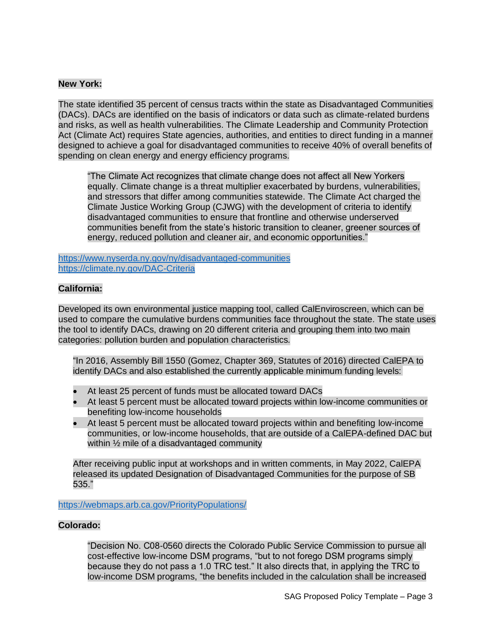### **New York:**

The state identified 35 percent of census tracts within the state as Disadvantaged Communities (DACs). DACs are identified on the basis of indicators or data such as climate-related burdens and risks, as well as health vulnerabilities. The Climate Leadership and Community Protection Act (Climate Act) requires State agencies, authorities, and entities to direct funding in a manner designed to achieve a goal for disadvantaged communities to receive 40% of overall benefits of spending on clean energy and energy efficiency programs.

"The Climate Act recognizes that climate change does not affect all New Yorkers equally. Climate change is a threat multiplier exacerbated by burdens, vulnerabilities, and stressors that differ among communities statewide. The Climate Act charged the Climate Justice Working Group (CJWG) with the development of criteria to identify disadvantaged communities to ensure that frontline and otherwise underserved communities benefit from the state's historic transition to cleaner, greener sources of energy, reduced pollution and cleaner air, and economic opportunities."

<https://www.nyserda.ny.gov/ny/disadvantaged-communities> <https://climate.ny.gov/DAC-Criteria>

## **California:**

Developed its own environmental justice mapping tool, called CalEnviroscreen, which can be used to compare the cumulative burdens communities face throughout the state. The state uses the tool to identify DACs, drawing on 20 different criteria and grouping them into two main categories: pollution burden and population characteristics*.*

"In 2016, Assembly Bill 1550 (Gomez, Chapter 369, Statutes of 2016) directed CalEPA to identify DACs and also established the currently applicable minimum funding levels:

- At least 25 percent of funds must be allocated toward DACs
- At least 5 percent must be allocated toward projects within low-income communities or benefiting low-income households
- At least 5 percent must be allocated toward projects within and benefiting low-income communities, or low-income households, that are outside of a CalEPA-defined DAC but within  $\frac{1}{2}$  mile of a disadvantaged community

After receiving public input at workshops and in written comments, in May 2022, CalEPA released its updated Designation of Disadvantaged Communities for the purpose of SB 535."

<https://webmaps.arb.ca.gov/PriorityPopulations/>

#### **Colorado:**

"Decision No. C08-0560 directs the Colorado Public Service Commission to pursue all cost-effective low-income DSM programs, "but to not forego DSM programs simply because they do not pass a 1.0 TRC test." It also directs that, in applying the TRC to low-income DSM programs, "the benefits included in the calculation shall be increased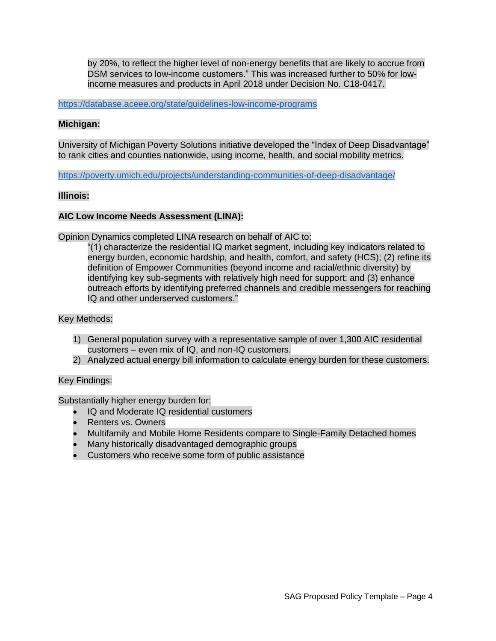by 20%, to reflect the higher level of non-energy benefits that are likely to accrue from DSM services to low-income customers." This was increased further to 50% for lowincome measures and products in April 2018 under Decision No. C18-0417.

<https://database.aceee.org/state/guidelines-low-income-programs>

### **Michigan:**

University of Michigan Poverty Solutions initiative developed the "Index of Deep Disadvantage" to rank cities and counties nationwide, using income, health, and social mobility metrics.

<https://poverty.umich.edu/projects/understanding-communities-of-deep-disadvantage/>

#### **Illinois:**

#### **AIC Low Income Needs Assessment (LINA):**

Opinion Dynamics completed LINA research on behalf of AIC to:

"(1) characterize the residential IQ market segment, including key indicators related to energy burden, economic hardship, and health, comfort, and safety (HCS); (2) refine its definition of Empower Communities (beyond income and racial/ethnic diversity) by identifying key sub-segments with relatively high need for support; and (3) enhance outreach efforts by identifying preferred channels and credible messengers for reaching IQ and other underserved customers."

#### Key Methods:

- 1) General population survey with a representative sample of over 1,300 AIC residential customers – even mix of IQ, and non-IQ customers.
- 2) Analyzed actual energy bill information to calculate energy burden for these customers.

#### Key Findings:

Substantially higher energy burden for:

- IQ and Moderate IQ residential customers
- Renters vs. Owners
- Multifamily and Mobile Home Residents compare to Single-Family Detached homes
- Many historically disadvantaged demographic groups
- Customers who receive some form of public assistance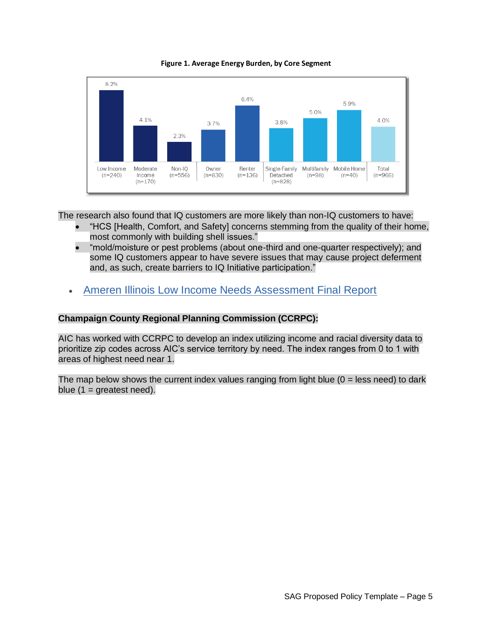



The research also found that IQ customers are more likely than non-IQ customers to have:

- "HCS [Health, Comfort, and Safety] concerns stemming from the quality of their home, most commonly with building shell issues."
- "mold/moisture or pest problems (about one-third and one-quarter respectively); and some IQ customers appear to have severe issues that may cause project deferment and, as such, create barriers to IQ Initiative participation."
- [Ameren Illinois Low Income Needs Assessment Final Report](https://ilsag.s3.amazonaws.com/AIC-2021-LINA-Report-FINAL-2022-06-01.pdf)

### **Champaign County Regional Planning Commission (CCRPC):**

AIC has worked with CCRPC to develop an index utilizing income and racial diversity data to prioritize zip codes across AIC's service territory by need. The index ranges from 0 to 1 with areas of highest need near 1.

The map below shows the current index values ranging from light blue  $(0 =$  less need) to dark blue  $(1 =$  greatest need).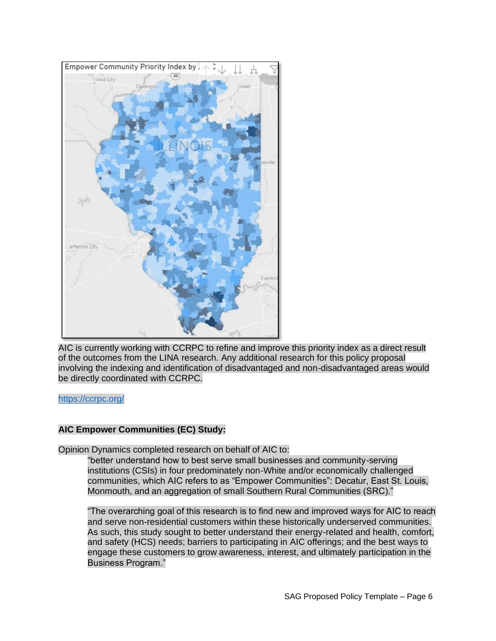

AIC is currently working with CCRPC to refine and improve this priority index as a direct result of the outcomes from the LINA research. Any additional research for this policy proposal involving the indexing and identification of disadvantaged and non-disadvantaged areas would be directly coordinated with CCRPC.

#### <https://ccrpc.org/>

#### **AIC Empower Communities (EC) Study:**

Opinion Dynamics completed research on behalf of AIC to:

"better understand how to best serve small businesses and community-serving institutions (CSIs) in four predominately non-White and/or economically challenged communities, which AIC refers to as "Empower Communities": Decatur, East St. Louis, Monmouth, and an aggregation of small Southern Rural Communities (SRC)."

"The overarching goal of this research is to find new and improved ways for AIC to reach and serve non-residential customers within these historically underserved communities. As such, this study sought to better understand their energy-related and health, comfort, and safety (HCS) needs; barriers to participating in AIC offerings; and the best ways to engage these customers to grow awareness, interest, and ultimately participation in the Business Program."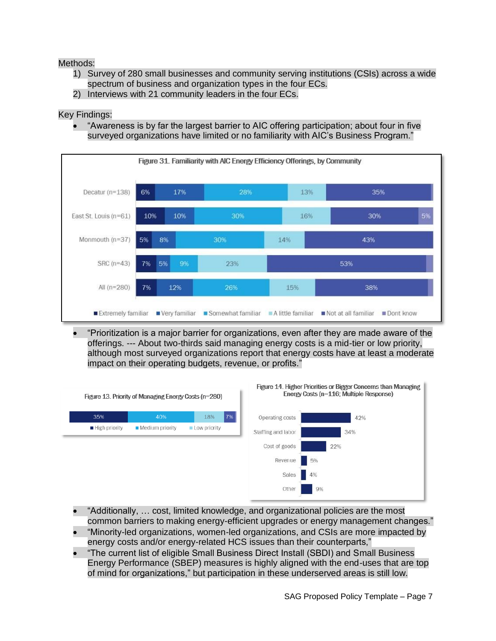## Methods:

- 1) Survey of 280 small businesses and community serving institutions (CSIs) across a wide spectrum of business and organization types in the four ECs.
- 2) Interviews with 21 community leaders in the four ECs.

## Key Findings:

• "Awareness is by far the largest barrier to AIC offering participation; about four in five surveyed organizations have limited or no familiarity with AIC's Business Program."



• "Prioritization is a major barrier for organizations, even after they are made aware of the offerings. --- About two-thirds said managing energy costs is a mid-tier or low priority, although most surveyed organizations report that energy costs have at least a moderate impact on their operating budgets, revenue, or profits."



- "Additionally, … cost, limited knowledge, and organizational policies are the most common barriers to making energy-efficient upgrades or energy management changes."
- "Minority-led organizations, women-led organizations, and CSIs are more impacted by energy costs and/or energy-related HCS issues than their counterparts,"
- "The current list of eligible Small Business Direct Install (SBDI) and Small Business Energy Performance (SBEP) measures is highly aligned with the end-uses that are top of mind for organizations," but participation in these underserved areas is still low.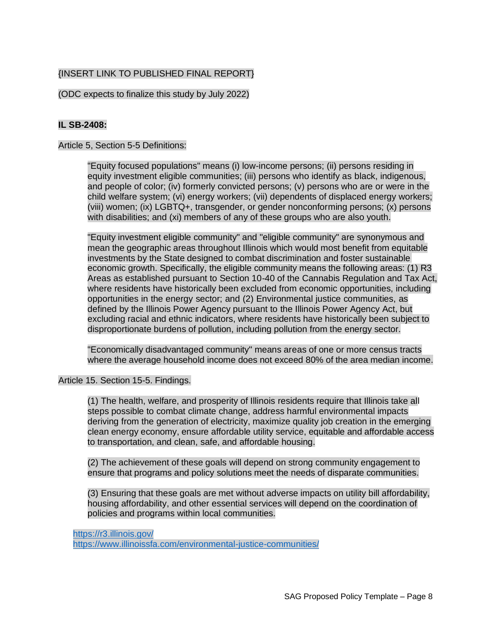## {INSERT LINK TO PUBLISHED FINAL REPORT}

### (ODC expects to finalize this study by July 2022)

## **IL SB-2408:**

Article 5, Section 5-5 Definitions:

"Equity focused populations" means (i) low-income persons; (ii) persons residing in equity investment eligible communities; (iii) persons who identify as black, indigenous, and people of color; (iv) formerly convicted persons; (v) persons who are or were in the child welfare system; (vi) energy workers; (vii) dependents of displaced energy workers; (viii) women; (ix) LGBTQ+, transgender, or gender nonconforming persons; (x) persons with disabilities; and (xi) members of any of these groups who are also youth.

"Equity investment eligible community" and "eligible community" are synonymous and mean the geographic areas throughout Illinois which would most benefit from equitable economic growth. Specifically, the eligible community means the following areas: (1) R3 Areas as established pursuant to Section 10-40 of the Cannabis Regulation and Tax Act, where residents have historically been excluded from economic opportunities, including opportunities in the energy sector; and (2) Environmental justice communities, as defined by the Illinois Power Agency pursuant to the Illinois Power Agency Act, but excluding racial and ethnic indicators, where residents have historically been subject to disproportionate burdens of pollution, including pollution from the energy sector. investments by the State designed to combat discrimination and foster sustainable

"Economically disadvantaged community" means areas of one or more census tracts where the average household income does not exceed 80% of the area median income.

Article 15. Section 15-5. Findings.

(1) The health, welfare, and prosperity of Illinois residents require that Illinois take all steps possible to combat climate change, address harmful environmental impacts deriving from the generation of electricity, maximize quality job creation in the emerging clean energy economy, ensure affordable utility service, equitable and affordable access to transportation, and clean, safe, and affordable housing.

(2) The achievement of these goals will depend on strong community engagement to ensure that programs and policy solutions meet the needs of disparate communities.

(3) Ensuring that these goals are met without adverse impacts on utility bill affordability, housing affordability, and other essential services will depend on the coordination of policies and programs within local communities.

<https://r3.illinois.gov/> <https://www.illinoissfa.com/environmental-justice-communities/>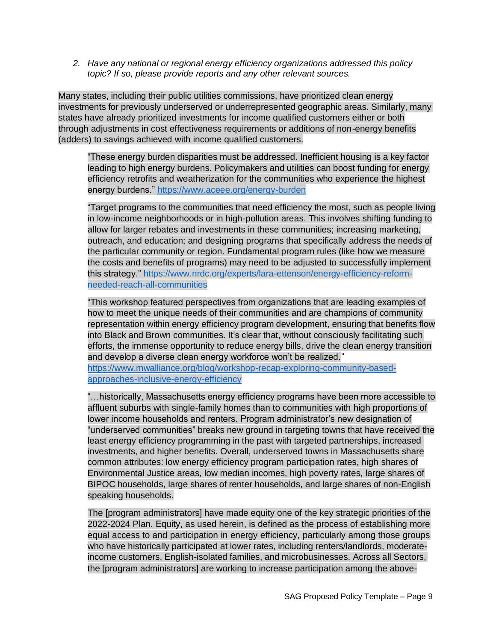*2. Have any national or regional energy efficiency organizations addressed this policy topic? If so, please provide reports and any other relevant sources.*

Many states, including their public utilities commissions, have prioritized clean energy states have already prioritized investments for income qualified customers either or both through adjustments in cost effectiveness requirements or additions of non-energy benefits (adders) to savings achieved with income qualified customers. investments for previously underserved or underrepresented geographic areas. Similarly, many

"These energy burden disparities must be addressed. Inefficient housing is a key factor efficiency retrofits and weatherization for the communities who experience the highest energy burdens." <https://www.aceee.org/energy-burden> leading to high energy burdens. Policymakers and utilities can boost funding for energy

"Target programs to the communities that need efficiency the most, such as people living in low-income neighborhoods or in high-pollution areas. This involves shifting funding to allow for larger rebates and investments in these communities; increasing marketing, outreach, and education; and designing programs that specifically address the needs of the particular community or region. Fundamental program rules (like how we measure the costs and benefits of programs) may need to be adjusted to successfully implement this strategy." [https://www.nrdc.org/experts/lara-ettenson/energy-efficiency-reform](https://www.nrdc.org/experts/lara-ettenson/energy-efficiency-reform-needed-reach-all-communities)[needed-reach-all-communities](https://www.nrdc.org/experts/lara-ettenson/energy-efficiency-reform-needed-reach-all-communities)

"This workshop featured perspectives from organizations that are leading examples of how to meet the unique needs of their communities and are champions of community representation within energy efficiency program development, ensuring that benefits flow efforts, the immense opportunity to reduce energy bills, drive the clean energy transition and develop a diverse clean energy workforce won't be realized." into Black and Brown communities. It's clear that, without consciously facilitating such

[https://www.mwalliance.org/blog/workshop-recap-exploring-community-based](https://www.mwalliance.org/blog/workshop-recap-exploring-community-based-approaches-inclusive-energy-efficiency)[approaches-inclusive-energy-efficiency](https://www.mwalliance.org/blog/workshop-recap-exploring-community-based-approaches-inclusive-energy-efficiency)

"…historically, Massachusetts energy efficiency programs have been more accessible to affluent suburbs with single-family homes than to communities with high proportions of lower income households and renters. Program administrator's new designation of "underserved communities" breaks new ground in targeting towns that have received the common attributes: low energy efficiency program participation rates, high shares of Environmental Justice areas, low median incomes, high poverty rates, large shares of BIPOC households, large shares of renter households, and large shares of non-English speaking households. investments, and higher benefits. Overall, underserved towns in Massachusetts share least energy efficiency programming in the past with targeted partnerships, increased

The [program administrators] have made equity one of the key strategic priorities of the 2022-2024 Plan. Equity, as used herein, is defined as the process of establishing more equal access to and participation in energy efficiency, particularly among those groups who have historically participated at lower rates, including renters/landlords, moderatethe [program administrators] are working to increase participation among the aboveincome customers, English-isolated families, and microbusinesses. Across all Sectors,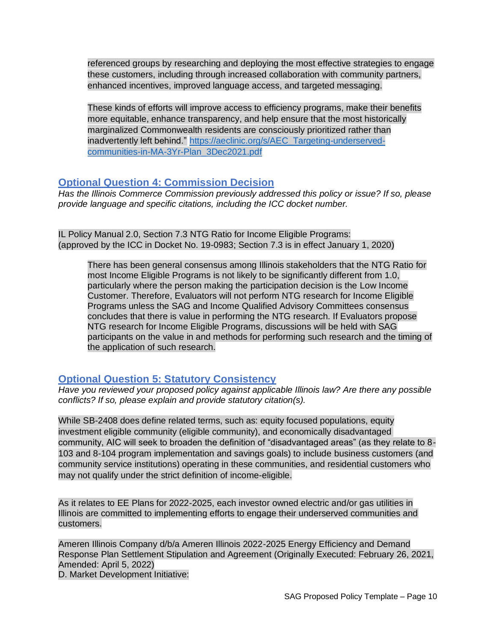referenced groups by researching and deploying the most effective strategies to engage these customers, including through increased collaboration with community partners, enhanced incentives, improved language access, and targeted messaging.

inadvertently left behind." [https://aeclinic.org/s/AEC\\_Targeting-underserved-](https://aeclinic.org/s/AEC_Targeting-underserved-communities-in-MA-3Yr-Plan_3Dec2021.pdf)These kinds of efforts will improve access to efficiency programs, make their benefits more equitable, enhance transparency, and help ensure that the most historically marginalized Commonwealth residents are consciously prioritized rather than [communities-in-MA-3Yr-Plan\\_3Dec2021.pdf](https://aeclinic.org/s/AEC_Targeting-underserved-communities-in-MA-3Yr-Plan_3Dec2021.pdf)

# **Optional Question 4: Commission Decision**

*Has the Illinois Commerce Commission previously addressed this policy or issue? If so, please provide language and specific citations, including the ICC docket number.*

IL Policy Manual 2.0, Section 7.3 NTG Ratio for Income Eligible Programs: (approved by the ICC in Docket No. 19-0983; Section 7.3 is in effect January 1, 2020)

There has been general consensus among Illinois stakeholders that the NTG Ratio for most Income Eligible Programs is not likely to be significantly different from 1.0, particularly where the person making the participation decision is the Low Income Customer. Therefore, Evaluators will not perform NTG research for Income Eligible Programs unless the SAG and Income Qualified Advisory Committees consensus concludes that there is value in performing the NTG research. If Evaluators propose NTG research for Income Eligible Programs, discussions will be held with SAG participants on the value in and methods for performing such research and the timing of the application of such research.

# **Optional Question 5: Statutory Consistency**

*Have you reviewed your proposed policy against applicable Illinois law? Are there any possible conflicts? If so, please explain and provide statutory citation(s).*

While SB-2408 does define related terms, such as: equity focused populations, equity community, AIC will seek to broaden the definition of "disadvantaged areas" (as they relate to 8- 103 and 8-104 program implementation and savings goals) to include business customers (and community service institutions) operating in these communities, and residential customers who may not qualify under the strict definition of income-eligible. investment eligible community (eligible community), and economically disadvantaged

As it relates to EE Plans for 2022-2025, each investor owned electric and/or gas utilities in Illinois are committed to implementing efforts to engage their underserved communities and customers.

Ameren Illinois Company d/b/a Ameren Illinois 2022-2025 Energy Efficiency and Demand Response Plan Settlement Stipulation and Agreement (Originally Executed: February 26, 2021, Amended: April 5, 2022) D. Market Development Initiative: